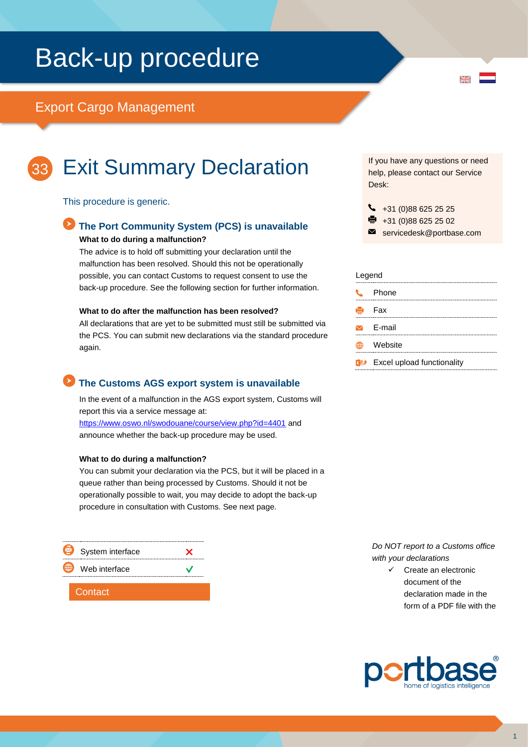# Back-up procedure

### Export Cargo Management



## Exit Summary Declaration

#### This procedure is generic.

### **The Port Community System (PCS) is unavailable What to do during a malfunction?**

The advice is to hold off submitting your declaration until the malfunction has been resolved. Should this not be operationally possible, you can contact Customs to request consent to use the back-up procedure. See the following section for further information.

#### **What to do after the malfunction has been resolved?**

All declarations that are yet to be submitted must still be submitted via the PCS. You can submit new declarations via the standard procedure again.

### **The Customs AGS export system is unavailable**

In the event of a malfunction in the AGS export system, Customs will report this via a service message at: <https://www.oswo.nl/swodouane/course/view.php?id=4401> and announce whether the back-up procedure may be used.

#### **What to do during a malfunction?**

You can submit your declaration via the PCS, but it will be placed in a queue rather than being processed by Customs. Should it not be operationally possible to wait, you may decide to adopt the back-up procedure in consultation with Customs. See next page.



If you have any questions or need help, please contact our Service Desk:

 $\overline{\mathbf{M}}$ 

- $\begin{array}{r} \big\{\end{array}$  +31 (0)88 625 25 25
- +31 (0)88 625 25 02
- servicedesk@portbase.com

#### Legend

| t. | Phone                                      |
|----|--------------------------------------------|
|    | $\mathbf{H}$ Fax                           |
|    | $\triangleright$ F-mail                    |
|    | Website                                    |
|    | $x \rightarrow$ Excel upload functionality |

*Do NOT report to a Customs office with your declarations*

> Create an electronic document of the declaration made in the form of a PDF file with the



1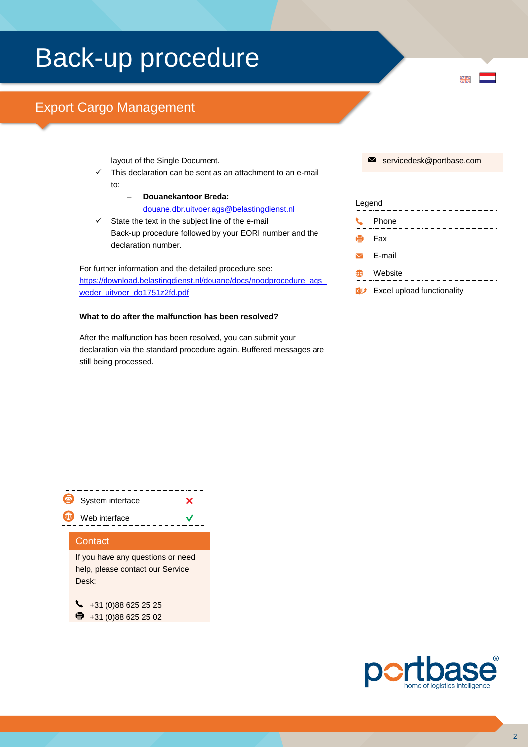# Back-up procedure

## Export Cargo Management

layout of the Single Document.

- This declaration can be sent as an attachment to an e-mail to:
	- **Douanekantoor Breda:** [douane.dbr.uitvoer.ags@belastingdienst.nl](mailto:douane.dbr.uitvoer.ags@belastingdienst.nl)
- $\checkmark$  State the text in the subject line of the e-mail Back-up procedure followed by your EORI number and the declaration number.

For further information and the detailed procedure see: [https://download.belastingdienst.nl/douane/docs/noodprocedure\\_ags\\_](https://download.belastingdienst.nl/douane/docs/noodprocedure_ags_weder_uitvoer_do1751z2fd.pdf) [weder\\_uitvoer\\_do1751z2fd.pdf](https://download.belastingdienst.nl/douane/docs/noodprocedure_ags_weder_uitvoer_do1751z2fd.pdf)

#### **What to do after the malfunction has been resolved?**

After the malfunction has been resolved, you can submit your declaration via the standard procedure again. Buffered messages are still being processed.

servicedesk@portbase.com

 $\overline{\mathbf{M}}$ 

| Legend |                                   |
|--------|-----------------------------------|
|        | Phone                             |
|        | - Fax                             |
|        | $\sqrt{ }$ E-mail                 |
|        | Website                           |
|        | <b>Excel upload functionality</b> |
|        |                                   |